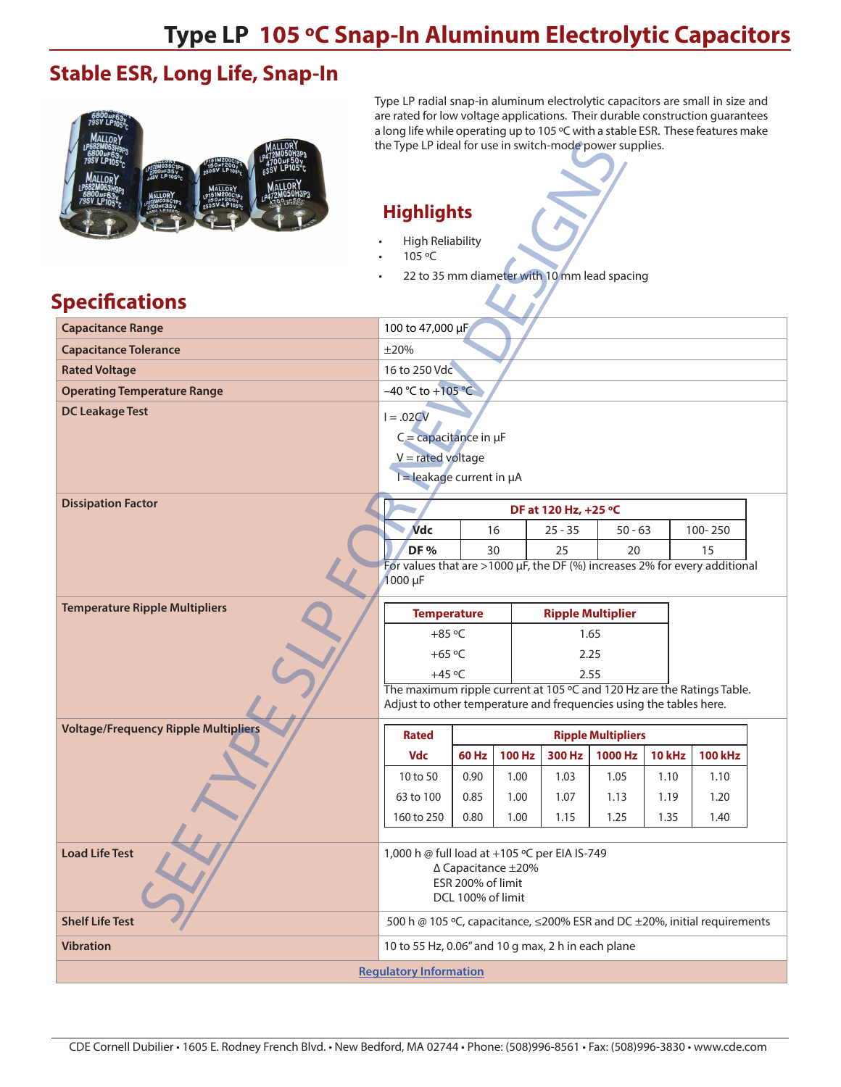### **Stable ESR, Long Life, Snap-In**



Type LP radial snap-in aluminum electrolytic capacitors are small in size and are rated for low voltage applications. Their durable construction guarantees a long life while operating up to 105 ºC with a stable ESR. These features make the Type LP ideal for use in switch-mode power supplies.

#### **Highlights**

- High Reliability
- 105 ºC
- 22 to 35 mm diameter with 10 mm lead spacing

### **Specifications**

| 105 °C<br>22 to 35 mm diameter with 10 mm lead spacing                                                                                       |                                                                                 |  |  |  |  |  |  |  |  |  |  |
|----------------------------------------------------------------------------------------------------------------------------------------------|---------------------------------------------------------------------------------|--|--|--|--|--|--|--|--|--|--|
| Specifications                                                                                                                               |                                                                                 |  |  |  |  |  |  |  |  |  |  |
|                                                                                                                                              |                                                                                 |  |  |  |  |  |  |  |  |  |  |
| 100 to 47,000 µF<br><b>Capacitance Range</b>                                                                                                 |                                                                                 |  |  |  |  |  |  |  |  |  |  |
| <b>Capacitance Tolerance</b><br>$\pm 20%$                                                                                                    |                                                                                 |  |  |  |  |  |  |  |  |  |  |
| 16 to 250 Vdc<br><b>Rated Voltage</b><br>$-40 °C$ to $+105 °C$                                                                               |                                                                                 |  |  |  |  |  |  |  |  |  |  |
| <b>Operating Temperature Range</b><br><b>DC Leakage Test</b>                                                                                 |                                                                                 |  |  |  |  |  |  |  |  |  |  |
| $I=.02CV$<br>$C =$ capacitance in $\mu F$<br>$V =$ rated voltage<br>$I =$ leakage current in $\mu A$                                         |                                                                                 |  |  |  |  |  |  |  |  |  |  |
| <b>Dissipation Factor</b><br>DF at 120 Hz, +25 °C                                                                                            |                                                                                 |  |  |  |  |  |  |  |  |  |  |
| <b>Vdc</b><br>100-250<br>16<br>$25 - 35$<br>$50 - 63$                                                                                        |                                                                                 |  |  |  |  |  |  |  |  |  |  |
| DF <sub>%</sub><br>30<br>25<br>15<br>20                                                                                                      |                                                                                 |  |  |  |  |  |  |  |  |  |  |
| 1000 µF                                                                                                                                      | For values that are >1000 $\mu$ F, the DF (%) increases 2% for every additional |  |  |  |  |  |  |  |  |  |  |
| <b>Temperature Ripple Multipliers</b><br><b>Ripple Multiplier</b><br><b>Temperature</b>                                                      |                                                                                 |  |  |  |  |  |  |  |  |  |  |
| $+85$ °C<br>1.65                                                                                                                             |                                                                                 |  |  |  |  |  |  |  |  |  |  |
|                                                                                                                                              |                                                                                 |  |  |  |  |  |  |  |  |  |  |
| +65 $\degree$ C<br>2.25                                                                                                                      |                                                                                 |  |  |  |  |  |  |  |  |  |  |
| $+45$ °C<br>2.55                                                                                                                             |                                                                                 |  |  |  |  |  |  |  |  |  |  |
| The maximum ripple current at 105 °C and 120 Hz are the Ratings Table.<br>Adjust to other temperature and frequencies using the tables here. |                                                                                 |  |  |  |  |  |  |  |  |  |  |
| <b>Voltage/Frequency Ripple Multipliers</b>                                                                                                  |                                                                                 |  |  |  |  |  |  |  |  |  |  |
| <b>Rated</b><br><b>Ripple Multipliers</b>                                                                                                    |                                                                                 |  |  |  |  |  |  |  |  |  |  |
| 60 Hz   100 Hz   300 Hz   1000 Hz   10 kHz   100 kHz<br><b>Vdc</b>                                                                           |                                                                                 |  |  |  |  |  |  |  |  |  |  |
| 0.90<br>1.00<br>1.03<br>1.05<br>10 to 50<br>1.10<br>1.10<br>1.13                                                                             |                                                                                 |  |  |  |  |  |  |  |  |  |  |
| 63 to 100<br>0.85<br>1.00<br>1.07<br>1.19<br>1.20<br>160 to 250<br>0.80<br>1.00<br>1.15<br>1.25<br>1.35<br>1.40                              |                                                                                 |  |  |  |  |  |  |  |  |  |  |
|                                                                                                                                              |                                                                                 |  |  |  |  |  |  |  |  |  |  |
| <b>Load Life Test</b><br>1,000 h @ full load at +105 °C per EIA IS-749<br>∆ Capacitance ±20%<br>ESR 200% of limit<br>DCL 100% of limit       |                                                                                 |  |  |  |  |  |  |  |  |  |  |
| <b>Shelf Life Test</b><br>500 h @ 105 °C, capacitance, ≤200% ESR and DC ±20%, initial requirements                                           |                                                                                 |  |  |  |  |  |  |  |  |  |  |
| <b>Vibration</b><br>10 to 55 Hz, 0.06" and 10 g max, 2 h in each plane                                                                       |                                                                                 |  |  |  |  |  |  |  |  |  |  |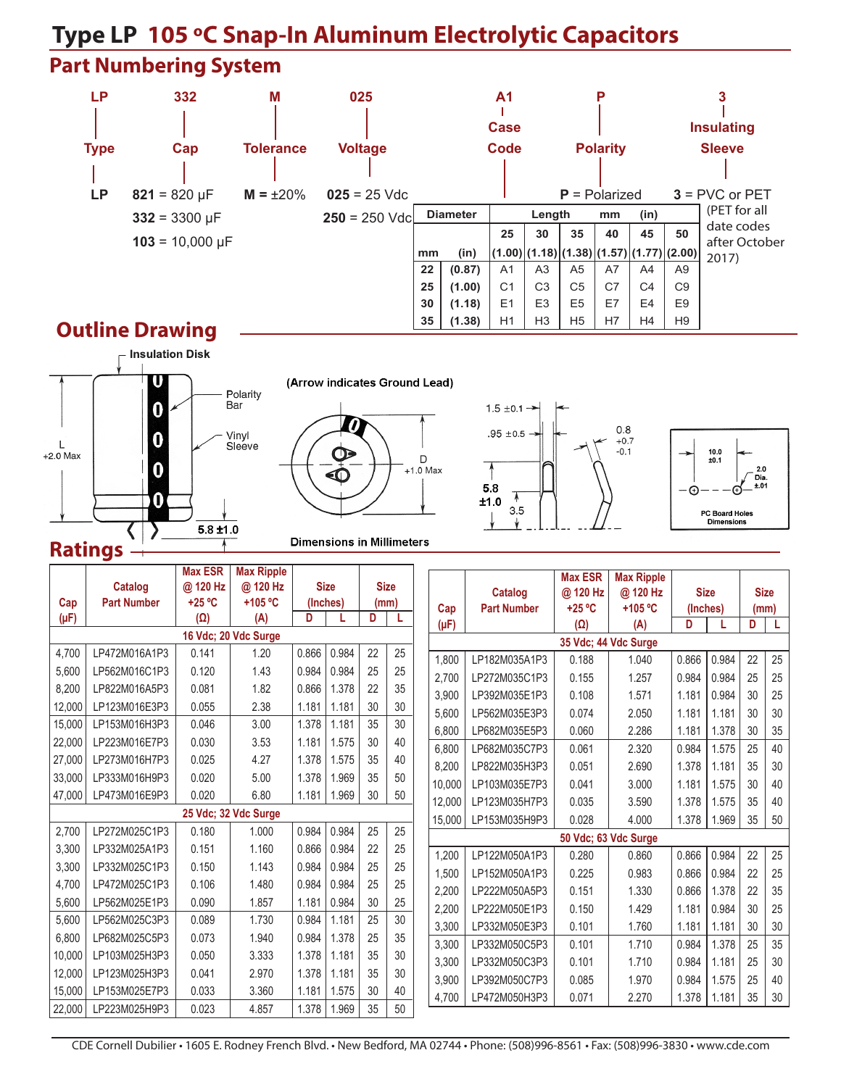## **Part Numbering System LP 332 M 025 A1 P 3 Type Cap Tolerance Voltage Code Polarity Sleeve LP**  $821 = 820 \text{ }\mu\text{F}$  **M** =  $\pm 20\%$  **025** = 25

|                         |                  |                 |                 |        | <b>Case</b>    |                                              |                 |            | <b>Insulating</b> |                |                             |  |  |  |
|-------------------------|------------------|-----------------|-----------------|--------|----------------|----------------------------------------------|-----------------|------------|-------------------|----------------|-----------------------------|--|--|--|
| Cap                     | <b>Tolerance</b> | <b>Voltage</b>  |                 |        | Code           |                                              | <b>Polarity</b> |            |                   |                | <b>Sleeve</b>               |  |  |  |
|                         |                  |                 |                 |        |                |                                              |                 |            |                   |                |                             |  |  |  |
| $821 = 820 \text{ µF}$  | $M = \pm 20\%$   | $025 = 25$ Vdc  |                 |        |                |                                              |                 |            | $P =$ Polarized   |                | $3 =$ PVC or PET            |  |  |  |
| $332 = 3300 \text{ µF}$ |                  | $250 = 250$ Vdc | <b>Diameter</b> |        |                | Length                                       |                 | (in)<br>mm |                   |                | (PET for all                |  |  |  |
| $103 = 10,000 \,\mu F$  |                  |                 |                 |        |                | 30                                           | 35              |            | 45<br>40          |                | date codes<br>after October |  |  |  |
|                         |                  |                 | (in)<br>mm      |        |                | $ (1.00) (1.18) (1.38) (1.57) (1.77) (2.00)$ |                 |            |                   |                | 2017)                       |  |  |  |
|                         |                  |                 | 22              | (0.87) | A1             | A <sub>3</sub>                               | A <sub>5</sub>  | A7         | A4                | A <sub>9</sub> |                             |  |  |  |
|                         |                  |                 | 25              | (1.00) | C <sub>1</sub> | C <sub>3</sub>                               | C <sub>5</sub>  | C7         | C <sub>4</sub>    | C <sub>9</sub> |                             |  |  |  |
|                         |                  |                 | 30              | (1.18) | E1             | E <sub>3</sub>                               | E <sub>5</sub>  | E7         | E4                | E <sub>9</sub> |                             |  |  |  |
| <b>DESMIRAL</b>         |                  |                 | 35              | (1.38) | H1             | H <sub>3</sub>                               | H <sub>5</sub>  | H7         | H <sub>4</sub>    | H <sub>9</sub> |                             |  |  |  |

### **Outline Drawing**



(Arrow indicates Ground Lead)





 $1.5 \pm 0.1$   $\rightarrow$ 



**Dimensions in Millimeters** 

|                      |                    | <b>Max ESR</b> | <b>Max Ripple</b>    |                              |               |             |       |           |                    |                |                      |             |       |             |      |
|----------------------|--------------------|----------------|----------------------|------------------------------|---------------|-------------|-------|-----------|--------------------|----------------|----------------------|-------------|-------|-------------|------|
|                      | Catalog            | @ 120 Hz       | @ 120 Hz             | <b>Size</b><br>(Inches)<br>D |               | <b>Size</b> |       |           |                    | <b>Max ESR</b> | <b>Max Ripple</b>    |             |       |             |      |
| Cap                  | <b>Part Number</b> | $+25 °C$       | $+105$ °C            |                              |               |             | (mm)  |           | <b>Catalog</b>     | @ 120 Hz       | @ 120 Hz             | <b>Size</b> |       | <b>Size</b> |      |
| $(\mu F)$            |                    | $(\Omega)$     | (A)                  |                              |               | D<br>L      |       | Cap       | <b>Part Number</b> | $+25 °C$       | +105 $°C$            | (Inches)    |       |             | (mm) |
|                      |                    |                | 16 Vdc; 20 Vdc Surge |                              |               |             |       | $(\mu F)$ |                    | $(\Omega)$     | (A)                  | D           |       | D           |      |
|                      |                    |                |                      |                              |               |             |       |           |                    |                | 35 Vdc; 44 Vdc Surge |             |       |             |      |
| 4.700                | LP472M016A1P3      | 0.141          | 1.20                 | 0.866                        | 0.984         | 22          | 25    | 1,800     | LP182M035A1P3      | 0.188          | 1.040                | 0.866       | 0.984 | 22          | 25   |
| 5,600                | LP562M016C1P3      | 0.120          | 1.43                 | 0.984                        | 0.984         | 25          | 25    | 2.700     | LP272M035C1P3      | 0.155          | 1.257                | 0.984       | 0.984 | 25          | 25   |
| 8,200                | LP822M016A5P3      | 0.081          | 1.82                 | 0.866                        | 1.378         | 22          | 35    | 3.900     | LP392M035E1P3      | 0.108          | 1.571                | 1.181       | 0.984 | 30          | 25   |
| 12,000               | LP123M016E3P3      | 0.055          | 2.38                 | 1.181                        | 1.181         | 30          | 30    | 5,600     | LP562M035E3P3      | 0.074          | 2.050                | 1.181       | 1.181 | 30          | 30   |
| 15,000               | LP153M016H3P3      | 0.046          | 3.00                 | 1.378                        | 1.181         | 35          | 30    | 6,800     | LP682M035E5P3      | 0.060          | 2.286                | 1.181       | 1.378 | 30          | 35   |
| 22.000               | LP223M016E7P3      | 0.030          | 3.53                 | 1.181                        | 1.575         | 30          | 40    | 6.800     | LP682M035C7P3      | 0.061          | 2.320                | 0.984       | 1.575 | 25          | 40   |
| 27,000               | LP273M016H7P3      | 0.025          | 4.27                 | 1.378                        | 1.575         | 35          | 40    | 8.200     | LP822M035H3P3      | 0.051          | 2.690                | 1.378       | 1.181 | 35          | 30   |
| 33,000               | LP333M016H9P3      | 0.020          | 5.00                 | 1.378                        | 1.969         | 35          | 50    | 10.000    | LP103M035E7P3      | 0.041          | 3.000                | 1.181       | 1.575 | 30          | 40   |
| 47,000               | LP473M016E9P3      | 0.020          | 6.80                 | 1.181                        | 1.969         | 30          | 50    | 12.000    | LP123M035H7P3      | 0.035          | 3.590                | 1.378       | 1.575 | 35          | 40   |
| 25 Vdc; 32 Vdc Surge |                    |                |                      | 15.000                       | LP153M035H9P3 | 0.028       | 4.000 | 1.378     | 1.969              | 35             | 50                   |             |       |             |      |
| 2,700                | LP272M025C1P3      | 0.180          | 1.000                | 0.984                        | 0.984         | 25          | 25    |           |                    |                | 50 Vdc; 63 Vdc Surge |             |       |             |      |
| 3,300                | LP332M025A1P3      | 0.151          | 1.160                | 0.866                        | 0.984         | 22          | 25    | 1,200     | LP122M050A1P3      | 0.280          | 0.860                | 0.866       | 0.984 | 22          | 25   |
| 3,300                | LP332M025C1P3      | 0.150          | 1.143                | 0.984                        | 0.984         | 25          | 25    | 1,500     | LP152M050A1P3      | 0.225          | 0.983                | 0.866       | 0.984 | 22          | 25   |
| 4,700                | LP472M025C1P3      | 0.106          | 1.480                | 0.984                        | 0.984         | 25          | 25    | 2,200     | LP222M050A5P3      | 0.151          | 1.330                | 0.866       | 1.378 | 22          | 35   |
| 5,600                | LP562M025E1P3      | 0.090          | 1.857                | 1.181                        | 0.984         | 30          | 25    |           | LP222M050E1P3      | 0.150          | 1.429                | 1.181       | 0.984 | 30          | 25   |
| 5,600                | LP562M025C3P3      | 0.089          | 1.730                | 0.984                        | 1.181         | 25          | 30    | 2,200     |                    |                |                      |             |       |             |      |
| 6,800                | LP682M025C5P3      | 0.073          | 1.940                | 0.984                        | 1.378         | 25          | 35    | 3.300     | LP332M050E3P3      | 0.101          | 1.760                | 1.181       | 1.181 | 30          | 30   |
| 10.000               | LP103M025H3P3      | 0.050          | 3.333                | 1.378                        | 1.181         | 35          | 30    | 3,300     | LP332M050C5P3      | 0.101          | 1.710                | 0.984       | 1.378 | 25          | 35   |
| 12,000               | LP123M025H3P3      | 0.041          | 2.970                | 1.378                        | 1.181         | 35          | 30    | 3,300     | LP332M050C3P3      | 0.101          | 1.710                | 0.984       | 1.181 | 25          | 30   |
| 15,000               | LP153M025E7P3      | 0.033          | 3.360                | 1.181                        | 1.575         | 30          | 40    | 3.900     | LP392M050C7P3      | 0.085          | 1.970                | 0.984       | 1.575 | 25          | 40   |
|                      |                    |                |                      |                              |               |             |       | 4,700     | LP472M050H3P3      | 0.071          | 2.270                | 1.378       | 1.181 | 35          | 30   |
| 22,000               | LP223M025H9P3      | 0.023          | 4.857                | 1.378                        | 1.969         | 35          | 50    |           |                    |                |                      |             |       |             |      |

CDE Cornell Dubilier • 1605 E. Rodney French Blvd. • New Bedford, MA 02744 • Phone: (508)996-8561 • Fax: (508)996-3830 • www.cde.com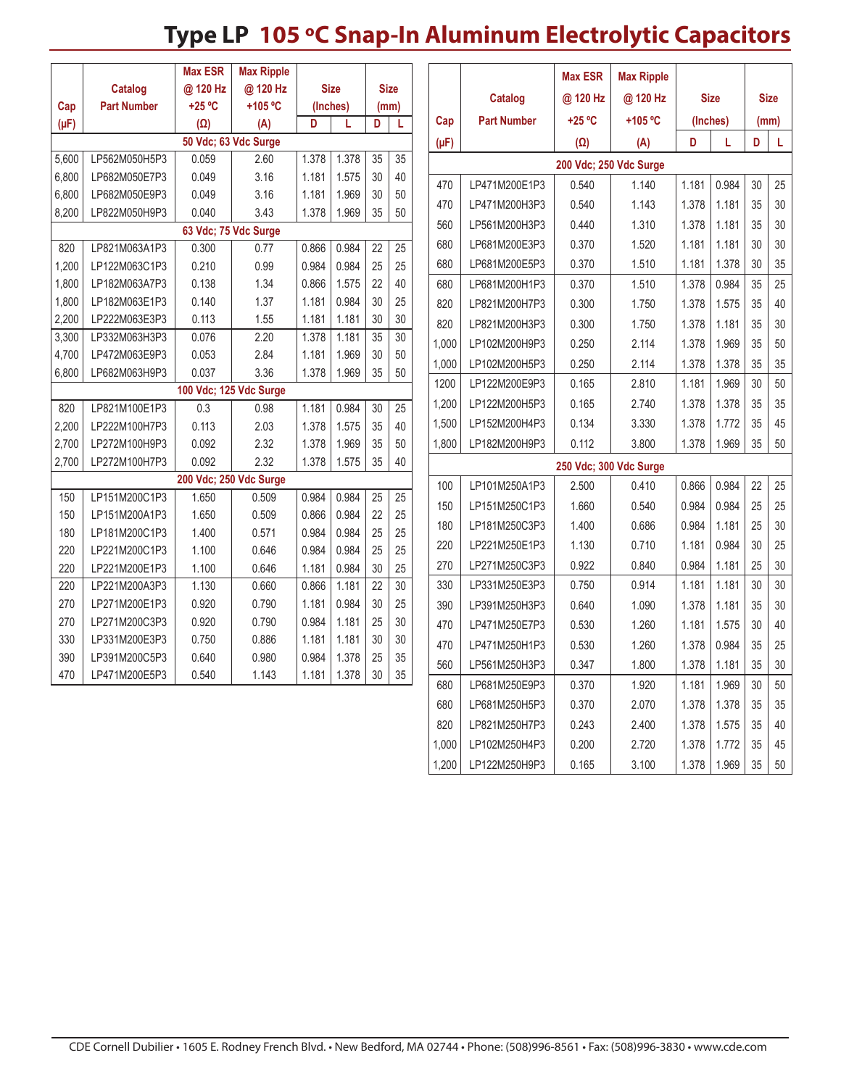|                                                                                                 |                        | <b>Max ESR</b>       | <b>Max Ripple</b> |             |       |                 |                 |                        |                    | <b>Max ESR</b>         | <b>Max Ripple</b> |             |       |             |        |
|-------------------------------------------------------------------------------------------------|------------------------|----------------------|-------------------|-------------|-------|-----------------|-----------------|------------------------|--------------------|------------------------|-------------------|-------------|-------|-------------|--------|
|                                                                                                 | <b>Catalog</b>         | @ 120 Hz             | @ 120 Hz          | <b>Size</b> |       | <b>Size</b>     |                 |                        |                    |                        |                   |             |       |             |        |
| Cap                                                                                             | <b>Part Number</b>     | +25 °C               | +105 °C           | (Inches)    |       |                 | (mm)            |                        | <b>Catalog</b>     | @ 120 Hz               | @ 120 Hz          | <b>Size</b> |       | <b>Size</b> |        |
| $(\mu F)$                                                                                       |                        | $(\Omega)$           | (A)               | D           | L     |                 | L               | Cap                    | <b>Part Number</b> | +25 °C<br>+105 °C      |                   | (Inches)    |       | (mm)        |        |
|                                                                                                 |                        | 50 Vdc; 63 Vdc Surge |                   |             |       |                 |                 | $(\mu F)$              |                    | $(\Omega)$             | (A)               | D           | L     | D           | L      |
| 5,600                                                                                           | LP562M050H5P3          | 0.059                | 2.60              | 1.378       | 1.378 | $\overline{35}$ | $\overline{35}$ |                        |                    | 200 Vdc; 250 Vdc Surge |                   |             |       |             |        |
| 6,800                                                                                           | LP682M050E7P3          | 0.049                | 3.16              | 1.181       | 1.575 | 30              | 40              | 470                    | LP471M200E1P3      | 0.540                  | 1.140             | 1.181       | 0.984 | 30          | 25     |
| 6,800                                                                                           | LP682M050E9P3          | 0.049                | 3.16              | 1.181       | 1.969 | 30              | 50              | 470                    | LP471M200H3P3      | 0.540                  | 1.143             | 1.378       | 1.181 | 35          | 30     |
| 8,200                                                                                           | LP822M050H9P3          | 0.040                | 3.43              | 1.378       | 1.969 | 35              | 50              | 560                    | LP561M200H3P3      | 0.440                  | 1.310             | 1.378       | 1.181 | 35          | 30     |
|                                                                                                 | 63 Vdc; 75 Vdc Surge   |                      |                   |             |       |                 |                 |                        |                    |                        |                   |             |       |             |        |
| 820                                                                                             | LP821M063A1P3          | 0.300                | 0.77              | 0.866       | 0.984 | 22              | 25              | 680                    | LP681M200E3P3      | 0.370                  | 1.520             | 1.181       | 1.181 | 30          | 30     |
| 1,200                                                                                           | LP122M063C1P3          | 0.210                | 0.99              | 0.984       | 0.984 | 25              | 25              | 680                    | LP681M200E5P3      | 0.370                  | 1.510             | 1.181       | 1.378 | 30          | 35     |
| 1,800                                                                                           | LP182M063A7P3          | 0.138                | 1.34              | 0.866       | 1.575 | 22              | 40              | 680                    | LP681M200H1P3      | 0.370                  | 1.510             | 1.378       | 0.984 | 35          | 25     |
| 1,800                                                                                           | LP182M063E1P3          | 0.140                | 1.37              | 1.181       | 0.984 | 30              | 25              | 820                    | LP821M200H7P3      | 0.300                  | 1.750             | 1.378       | 1.575 | 35          | 40     |
| 2,200                                                                                           | LP222M063E3P3          | 0.113                | 1.55              | 1.181       | 1.181 | 30              | 30              | 820                    | LP821M200H3P3      | 0.300                  | 1.750             | 1.378       | 1.181 | 35          | 30     |
| 3,300                                                                                           | LP332M063H3P3          | 0.076                | 2.20              | 1.378       | 1.181 | 35              | 30              | 1,000                  | LP102M200H9P3      | 0.250                  | 2.114             | 1.378       | 1.969 | 35          | 50     |
| 4,700                                                                                           | LP472M063E9P3          | 0.053                | 2.84              | 1.181       | 1.969 | 30              | 50              | 1,000                  | LP102M200H5P3      | 0.250                  | 2.114             | 1.378       | 1.378 | 35          | 35     |
| 6,800                                                                                           | LP682M063H9P3          | 0.037                | 3.36              | 1.378       | 1.969 | 35              | 50              | 1200                   | LP122M200E9P3      | 0.165                  | 2.810             | 1.181       | 1.969 | 30          | 50     |
|                                                                                                 | 100 Vdc; 125 Vdc Surge |                      |                   |             | 1,200 | LP122M200H5P3   | 0.165           | 2.740                  | 1.378              | 1.378                  | 35                | 35          |       |             |        |
| 820                                                                                             | LP821M100E1P3          | 0.3                  | 0.98              | 1.181       | 0.984 | 30              | 25              | 1,500                  | LP152M200H4P3      | 0.134                  | 3.330             | 1.378       | 1.772 | 35          | 45     |
| 2,200                                                                                           | LP222M100H7P3          | 0.113                | 2.03              | 1.378       | 1.575 | 35              | 40              |                        |                    |                        |                   |             |       |             |        |
| 2,700                                                                                           | LP272M100H9P3          | 0.092                | 2.32              | 1.378       | 1.969 | 35              | 50              | 1,800                  | LP182M200H9P3      | 0.112                  | 3.800             | 1.378       | 1.969 | 35          | 50     |
| 0.092<br>2.32<br>2,700<br>1.378<br>1.575<br>35<br>40<br>LP272M100H7P3<br>200 Vdc; 250 Vdc Surge |                        |                      |                   |             |       |                 |                 | 250 Vdc; 300 Vdc Surge |                    |                        |                   |             |       |             |        |
|                                                                                                 | LP151M200C1P3          |                      |                   | 0.984       | 0.984 |                 | 25              | 100                    | LP101M250A1P3      | 2.500                  | 0.410             | 0.866       | 0.984 | 22          | 25     |
| 150<br>150                                                                                      | LP151M200A1P3          | 1.650<br>1.650       | 0.509<br>0.509    | 0.866       | 0.984 | 25<br>22        | 25              | 150                    | LP151M250C1P3      | 1.660                  | 0.540             | 0.984       | 0.984 | 25          | 25     |
| 180                                                                                             | LP181M200C1P3          |                      | 0.571             | 0.984       | 0.984 | 25              | 25              | 180                    | LP181M250C3P3      | 1.400                  | 0.686             | 0.984       | 1.181 | 25          | 30     |
| 220                                                                                             | LP221M200C1P3          | 1.400<br>1.100       | 0.646             | 0.984       | 0.984 | 25              | 25              | 220                    | LP221M250E1P3      | 1.130                  | 0.710             | 1.181       | 0.984 | 30          | 25     |
| 220                                                                                             | LP221M200E1P3          | 1.100                | 0.646             | 1.181       | 0.984 | $30\,$          | 25              | 270                    | LP271M250C3P3      | 0.922                  | 0.840             | 0.984       | 1.181 | 25          | 30     |
| 220                                                                                             | LP221M200A3P3          | 1.130                | 0.660             | 0.866       | 1.181 | $\overline{22}$ | $\overline{30}$ | 330                    | LP331M250E3P3      | 0.750                  | 0.914             | 1.181       | 1.181 | 30          | 30     |
| 270                                                                                             | LP271M200E1P3          | 0.920                | 0.790             | 1.181       | 0.984 | 30              | 25              | 390                    | LP391M250H3P3      | 0.640                  | 1.090             | 1.378       | 1.181 | 35          | 30     |
| 270                                                                                             | LP271M200C3P3          | 0.920                | 0.790             | 0.984       | 1.181 | 25              | 30              |                        |                    |                        |                   |             |       |             |        |
| 330                                                                                             | LP331M200E3P3          | 0.750                | 0.886             | 1.181       | 1.181 | 30              | 30              | 470                    | LP471M250E7P3      | 0.530                  | 1.260             | 1.181       | 1.575 | 30          | 40     |
| 390                                                                                             | LP391M200C5P3          | 0.640                | 0.980             | 0.984       | 1.378 | 25              | 35              | 470                    | LP471M250H1P3      | 0.530                  | 1.260             | 1.378       | 0.984 | 35          | 25     |
| 470                                                                                             | LP471M200E5P3          | 0.540                | 1.143             | 1.181       | 1.378 | 30              | 35              | 560                    | LP561M250H3P3      | 0.347                  | 1.800             | 1.378       | 1.181 | 35          | $30\,$ |
|                                                                                                 |                        |                      |                   |             |       |                 |                 | 680                    | LP681M250E9P3      | 0.370                  | 1.920             | 1.181       | 1.969 | 30          | 50     |
|                                                                                                 |                        |                      |                   |             |       |                 |                 | 680                    | LP681M250H5P3      | 0.370                  | 2.070             | 1.378       | 1.378 | 35          | 35     |
|                                                                                                 |                        |                      |                   |             |       |                 |                 | 820                    | LP821M250H7P3      | 0.243                  | 2.400             | 1.378       | 1.575 | 35          | 40     |
|                                                                                                 |                        |                      |                   |             |       |                 |                 | 1,000                  | LP102M250H4P3      | 0.200                  | 2.720             | 1.378       | 1.772 | 35          | 45     |

1,200 LP122M250H9P3 0.165 3.100 1.378 1.969 35 50